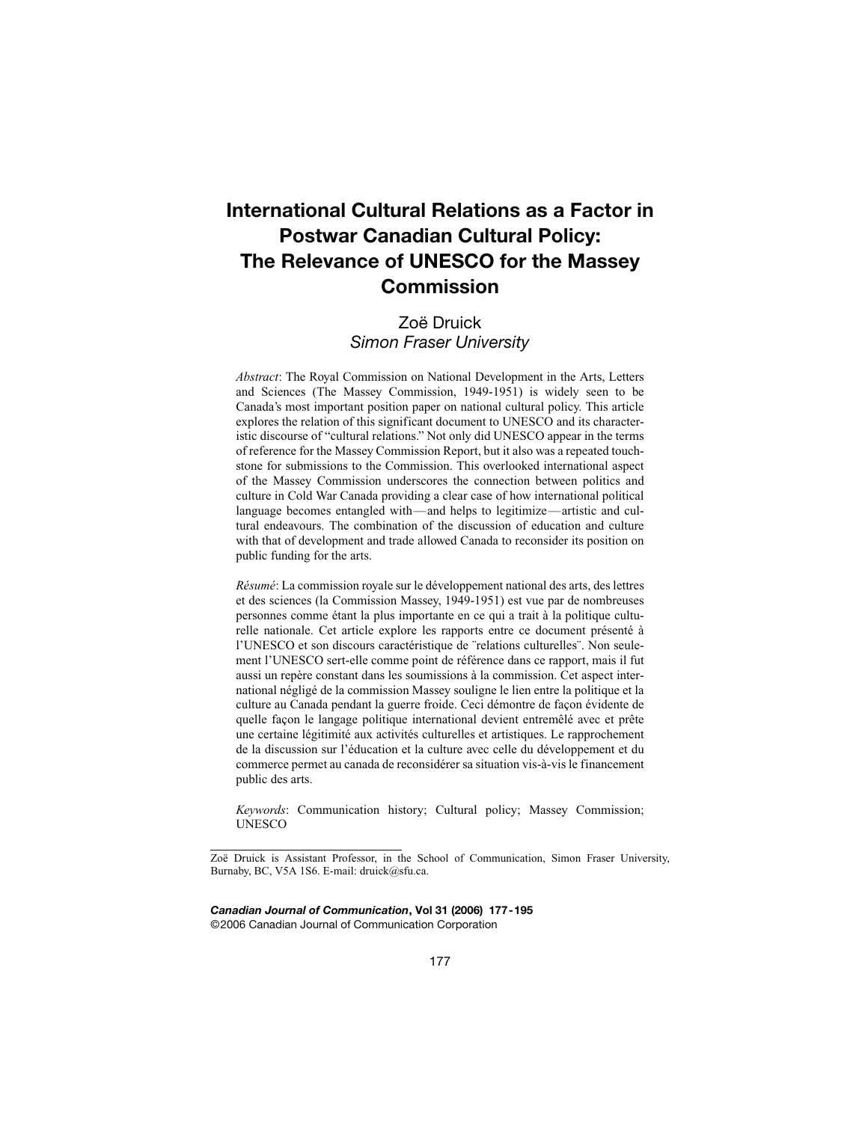# **International Cultural Relations as a Factor in Postwar Canadian Cultural Policy: The Relevance of UNESCO for the Massey Commission**

## Zoë Druick *Simon Fraser University*

*Abstract*: The Royal Commission on National Development in the Arts, Letters and Sciences (The Massey Commission, 1949-1951) is widely seen to be Canada's most important position paper on national cultural policy. This article explores the relation of this significant document to UNESCO and its characteristic discourse of "cultural relations." Not only did UNESCO appear in the terms of reference for the Massey Commission Report, but it also was a repeated touchstone for submissions to the Commission. This overlooked international aspect of the Massey Commission underscores the connection between politics and culture in Cold War Canada providing a clear case of how international political language becomes entangled with—and helps to legitimize—artistic and cultural endeavours. The combination of the discussion of education and culture with that of development and trade allowed Canada to reconsider its position on public funding for the arts.

*Résumé*: La commission royale sur le développement national des arts, des lettres et des sciences (la Commission Massey, 1949-1951) est vue par de nombreuses personnes comme étant la plus importante en ce qui a trait à la politique culturelle nationale. Cet article explore les rapports entre ce document présenté à l'UNESCO et son discours caractéristique de ¨relations culturelles¨. Non seulement l'UNESCO sert-elle comme point de référence dans ce rapport, mais il fut aussi un repère constant dans les soumissions à la commission. Cet aspect international négligé de la commission Massey souligne le lien entre la politique et la culture au Canada pendant la guerre froide. Ceci démontre de façon évidente de quelle façon le langage politique international devient entremêlé avec et prête une certaine légitimité aux activités culturelles et artistiques. Le rapprochement de la discussion sur l'éducation et la culture avec celle du développement et du commerce permet au canada de reconsidérer sa situation vis-à-vis le financement public des arts.

*Keywords*: Communication history; Cultural policy; Massey Commission; UNESCO

*Canadian Journal of Communication***, Vol 31 (2006) 177-195** ©2006 Canadian Journal of Communication Corporation

Zoë Druick is Assistant Professor, in the School of Communication, Simon Fraser University, Burnaby, BC, V5A 1S6. E-mail: druick@sfu.ca.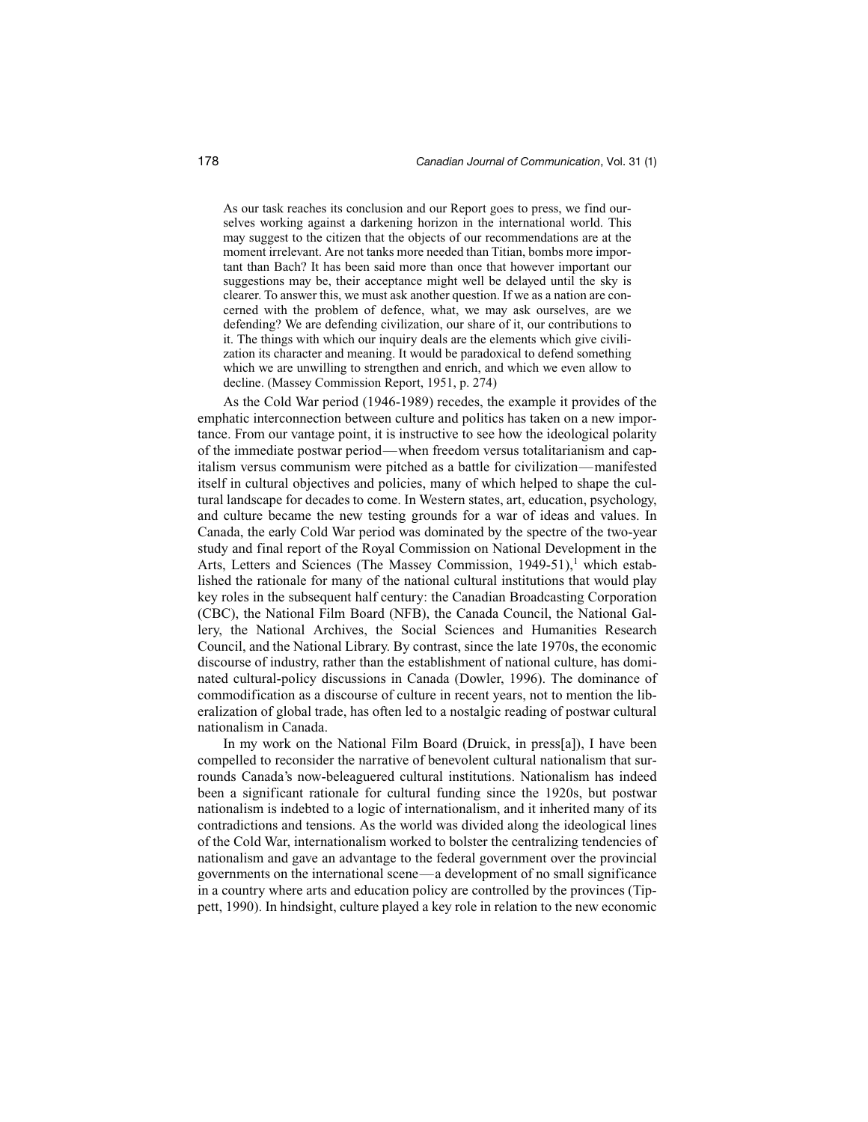As our task reaches its conclusion and our Report goes to press, we find ourselves working against a darkening horizon in the international world. This may suggest to the citizen that the objects of our recommendations are at the moment irrelevant. Are not tanks more needed than Titian, bombs more important than Bach? It has been said more than once that however important our suggestions may be, their acceptance might well be delayed until the sky is clearer. To answer this, we must ask another question. If we as a nation are concerned with the problem of defence, what, we may ask ourselves, are we defending? We are defending civilization, our share of it, our contributions to it. The things with which our inquiry deals are the elements which give civilization its character and meaning. It would be paradoxical to defend something which we are unwilling to strengthen and enrich, and which we even allow to decline. (Massey Commission Report, 1951, p. 274)

As the Cold War period (1946-1989) recedes, the example it provides of the emphatic interconnection between culture and politics has taken on a new importance. From our vantage point, it is instructive to see how the ideological polarity of the immediate postwar period—when freedom versus totalitarianism and capitalism versus communism were pitched as a battle for civilization—manifested itself in cultural objectives and policies, many of which helped to shape the cultural landscape for decades to come. In Western states, art, education, psychology, and culture became the new testing grounds for a war of ideas and values. In Canada, the early Cold War period was dominated by the spectre of the two-year study and final report of the Royal Commission on National Development in the Arts, Letters and Sciences (The Massey Commission, 1949-51),<sup>1</sup> which established the rationale for many of the national cultural institutions that would play key roles in the subsequent half century: the Canadian Broadcasting Corporation (CBC), the National Film Board (NFB), the Canada Council, the National Gallery, the National Archives, the Social Sciences and Humanities Research Council, and the National Library. By contrast, since the late 1970s, the economic discourse of industry, rather than the establishment of national culture, has dominated cultural-policy discussions in Canada (Dowler, 1996). The dominance of commodification as a discourse of culture in recent years, not to mention the liberalization of global trade, has often led to a nostalgic reading of postwar cultural nationalism in Canada.

In my work on the National Film Board (Druick, in press[a]), I have been compelled to reconsider the narrative of benevolent cultural nationalism that surrounds Canada's now-beleaguered cultural institutions. Nationalism has indeed been a significant rationale for cultural funding since the 1920s, but postwar nationalism is indebted to a logic of internationalism, and it inherited many of its contradictions and tensions. As the world was divided along the ideological lines of the Cold War, internationalism worked to bolster the centralizing tendencies of nationalism and gave an advantage to the federal government over the provincial governments on the international scene—a development of no small significance in a country where arts and education policy are controlled by the provinces (Tippett, 1990). In hindsight, culture played a key role in relation to the new economic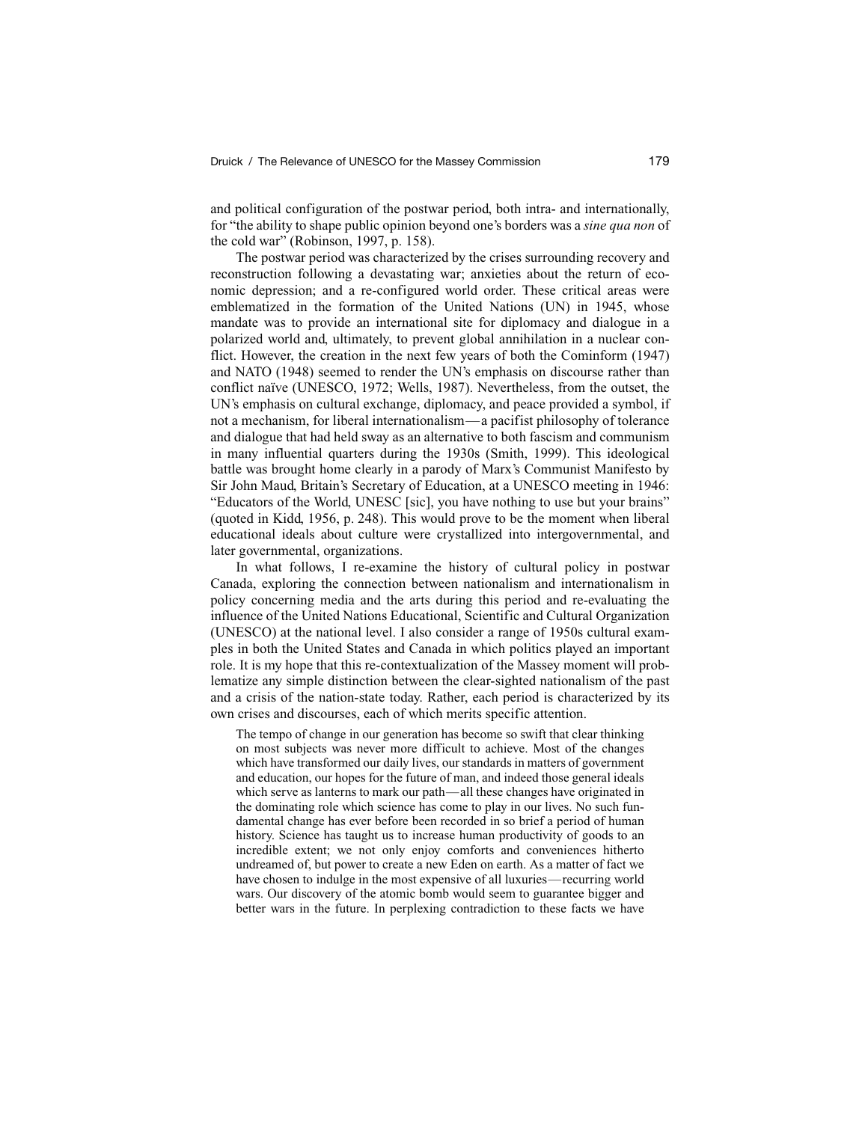and political configuration of the postwar period, both intra- and internationally, for "the ability to shape public opinion beyond one's borders was a *sine qua non* of the cold war" (Robinson, 1997, p. 158).

The postwar period was characterized by the crises surrounding recovery and reconstruction following a devastating war; anxieties about the return of economic depression; and a re-configured world order. These critical areas were emblematized in the formation of the United Nations (UN) in 1945, whose mandate was to provide an international site for diplomacy and dialogue in a polarized world and, ultimately, to prevent global annihilation in a nuclear conflict. However, the creation in the next few years of both the Cominform (1947) and NATO (1948) seemed to render the UN's emphasis on discourse rather than conflict naïve (UNESCO, 1972; Wells, 1987). Nevertheless, from the outset, the UN's emphasis on cultural exchange, diplomacy, and peace provided a symbol, if not a mechanism, for liberal internationalism—a pacifist philosophy of tolerance and dialogue that had held sway as an alternative to both fascism and communism in many influential quarters during the 1930s (Smith, 1999). This ideological battle was brought home clearly in a parody of Marx's Communist Manifesto by Sir John Maud, Britain's Secretary of Education, at a UNESCO meeting in 1946: "Educators of the World, UNESC [sic], you have nothing to use but your brains" (quoted in Kidd, 1956, p. 248). This would prove to be the moment when liberal educational ideals about culture were crystallized into intergovernmental, and later governmental, organizations.

In what follows, I re-examine the history of cultural policy in postwar Canada, exploring the connection between nationalism and internationalism in policy concerning media and the arts during this period and re-evaluating the influence of the United Nations Educational, Scientific and Cultural Organization (UNESCO) at the national level. I also consider a range of 1950s cultural examples in both the United States and Canada in which politics played an important role. It is my hope that this re-contextualization of the Massey moment will problematize any simple distinction between the clear-sighted nationalism of the past and a crisis of the nation-state today. Rather, each period is characterized by its own crises and discourses, each of which merits specific attention.

The tempo of change in our generation has become so swift that clear thinking on most subjects was never more difficult to achieve. Most of the changes which have transformed our daily lives, our standards in matters of government and education, our hopes for the future of man, and indeed those general ideals which serve as lanterns to mark our path—all these changes have originated in the dominating role which science has come to play in our lives. No such fundamental change has ever before been recorded in so brief a period of human history. Science has taught us to increase human productivity of goods to an incredible extent; we not only enjoy comforts and conveniences hitherto undreamed of, but power to create a new Eden on earth. As a matter of fact we have chosen to indulge in the most expensive of all luxuries—recurring world wars. Our discovery of the atomic bomb would seem to guarantee bigger and better wars in the future. In perplexing contradiction to these facts we have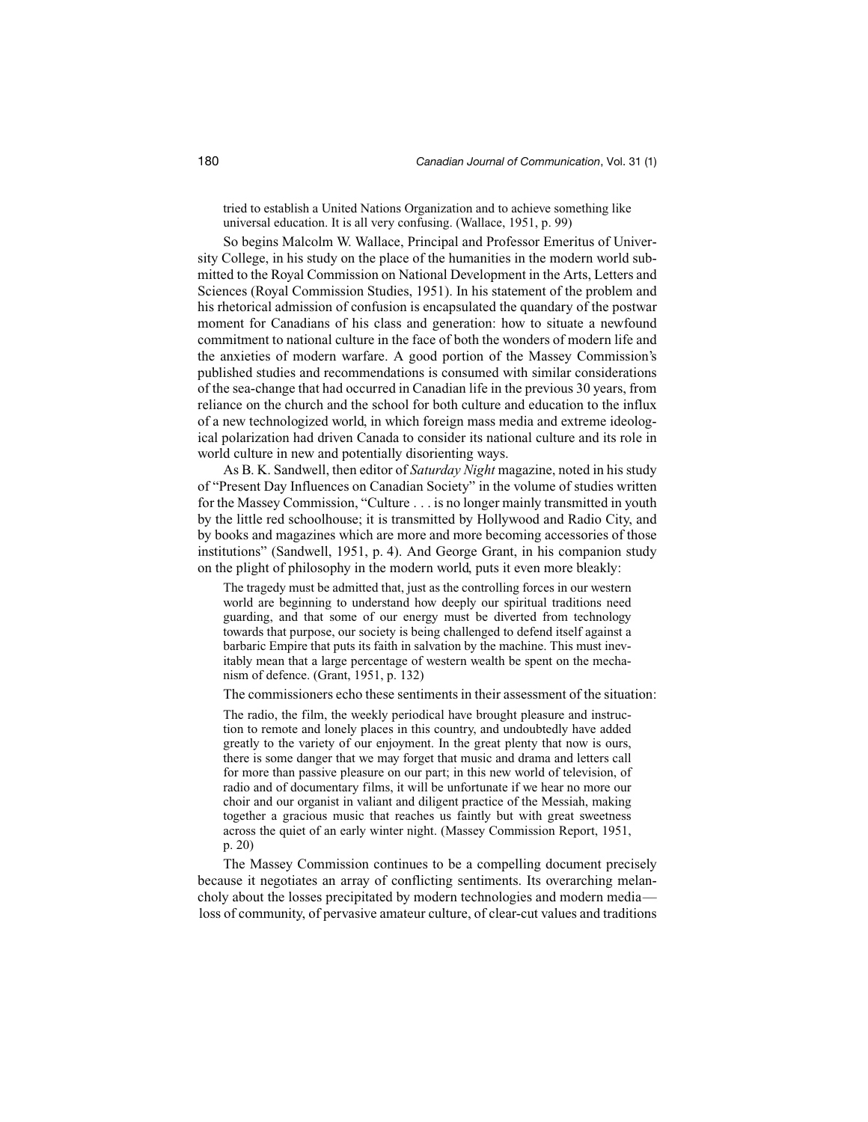tried to establish a United Nations Organization and to achieve something like universal education. It is all very confusing. (Wallace, 1951, p. 99)

So begins Malcolm W. Wallace, Principal and Professor Emeritus of University College, in his study on the place of the humanities in the modern world submitted to the Royal Commission on National Development in the Arts, Letters and Sciences (Royal Commission Studies, 1951). In his statement of the problem and his rhetorical admission of confusion is encapsulated the quandary of the postwar moment for Canadians of his class and generation: how to situate a newfound commitment to national culture in the face of both the wonders of modern life and the anxieties of modern warfare. A good portion of the Massey Commission's published studies and recommendations is consumed with similar considerations of the sea-change that had occurred in Canadian life in the previous 30 years, from reliance on the church and the school for both culture and education to the influx of a new technologized world, in which foreign mass media and extreme ideological polarization had driven Canada to consider its national culture and its role in world culture in new and potentially disorienting ways.

As B. K. Sandwell, then editor of *Saturday Night* magazine, noted in his study of "Present Day Influences on Canadian Society" in the volume of studies written for the Massey Commission, "Culture . . . is no longer mainly transmitted in youth by the little red schoolhouse; it is transmitted by Hollywood and Radio City, and by books and magazines which are more and more becoming accessories of those institutions" (Sandwell, 1951, p. 4). And George Grant, in his companion study on the plight of philosophy in the modern world, puts it even more bleakly:

The tragedy must be admitted that, just as the controlling forces in our western world are beginning to understand how deeply our spiritual traditions need guarding, and that some of our energy must be diverted from technology towards that purpose, our society is being challenged to defend itself against a barbaric Empire that puts its faith in salvation by the machine. This must inevitably mean that a large percentage of western wealth be spent on the mechanism of defence. (Grant, 1951, p. 132)

The commissioners echo these sentiments in their assessment of the situation:

The radio, the film, the weekly periodical have brought pleasure and instruction to remote and lonely places in this country, and undoubtedly have added greatly to the variety of our enjoyment. In the great plenty that now is ours, there is some danger that we may forget that music and drama and letters call for more than passive pleasure on our part; in this new world of television, of radio and of documentary films, it will be unfortunate if we hear no more our choir and our organist in valiant and diligent practice of the Messiah, making together a gracious music that reaches us faintly but with great sweetness across the quiet of an early winter night. (Massey Commission Report, 1951, p. 20)

The Massey Commission continues to be a compelling document precisely because it negotiates an array of conflicting sentiments. Its overarching melancholy about the losses precipitated by modern technologies and modern media loss of community, of pervasive amateur culture, of clear-cut values and traditions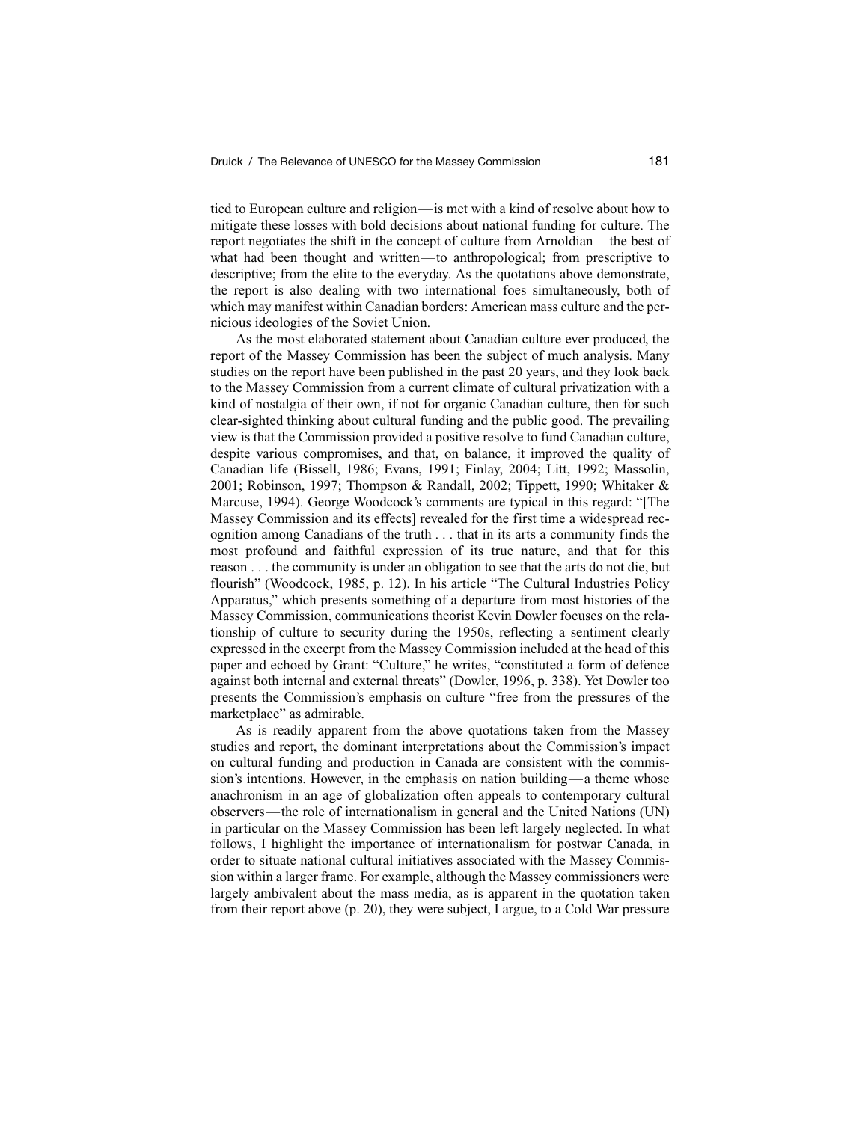tied to European culture and religion—is met with a kind of resolve about how to mitigate these losses with bold decisions about national funding for culture. The report negotiates the shift in the concept of culture from Arnoldian—the best of what had been thought and written—to anthropological; from prescriptive to descriptive; from the elite to the everyday. As the quotations above demonstrate, the report is also dealing with two international foes simultaneously, both of which may manifest within Canadian borders: American mass culture and the pernicious ideologies of the Soviet Union.

As the most elaborated statement about Canadian culture ever produced, the report of the Massey Commission has been the subject of much analysis. Many studies on the report have been published in the past 20 years, and they look back to the Massey Commission from a current climate of cultural privatization with a kind of nostalgia of their own, if not for organic Canadian culture, then for such clear-sighted thinking about cultural funding and the public good. The prevailing view is that the Commission provided a positive resolve to fund Canadian culture, despite various compromises, and that, on balance, it improved the quality of Canadian life (Bissell, 1986; Evans, 1991; Finlay, 2004; Litt, 1992; Massolin, 2001; Robinson, 1997; Thompson & Randall, 2002; Tippett, 1990; Whitaker & Marcuse, 1994). George Woodcock's comments are typical in this regard: "[The Massey Commission and its effects] revealed for the first time a widespread recognition among Canadians of the truth . . . that in its arts a community finds the most profound and faithful expression of its true nature, and that for this reason . . . the community is under an obligation to see that the arts do not die, but flourish" (Woodcock, 1985, p. 12). In his article "The Cultural Industries Policy Apparatus," which presents something of a departure from most histories of the Massey Commission, communications theorist Kevin Dowler focuses on the relationship of culture to security during the 1950s, reflecting a sentiment clearly expressed in the excerpt from the Massey Commission included at the head of this paper and echoed by Grant: "Culture," he writes, "constituted a form of defence against both internal and external threats" (Dowler, 1996, p. 338). Yet Dowler too presents the Commission's emphasis on culture "free from the pressures of the marketplace" as admirable.

As is readily apparent from the above quotations taken from the Massey studies and report, the dominant interpretations about the Commission's impact on cultural funding and production in Canada are consistent with the commission's intentions. However, in the emphasis on nation building—a theme whose anachronism in an age of globalization often appeals to contemporary cultural observers—the role of internationalism in general and the United Nations (UN) in particular on the Massey Commission has been left largely neglected. In what follows, I highlight the importance of internationalism for postwar Canada, in order to situate national cultural initiatives associated with the Massey Commission within a larger frame. For example, although the Massey commissioners were largely ambivalent about the mass media, as is apparent in the quotation taken from their report above (p. 20), they were subject, I argue, to a Cold War pressure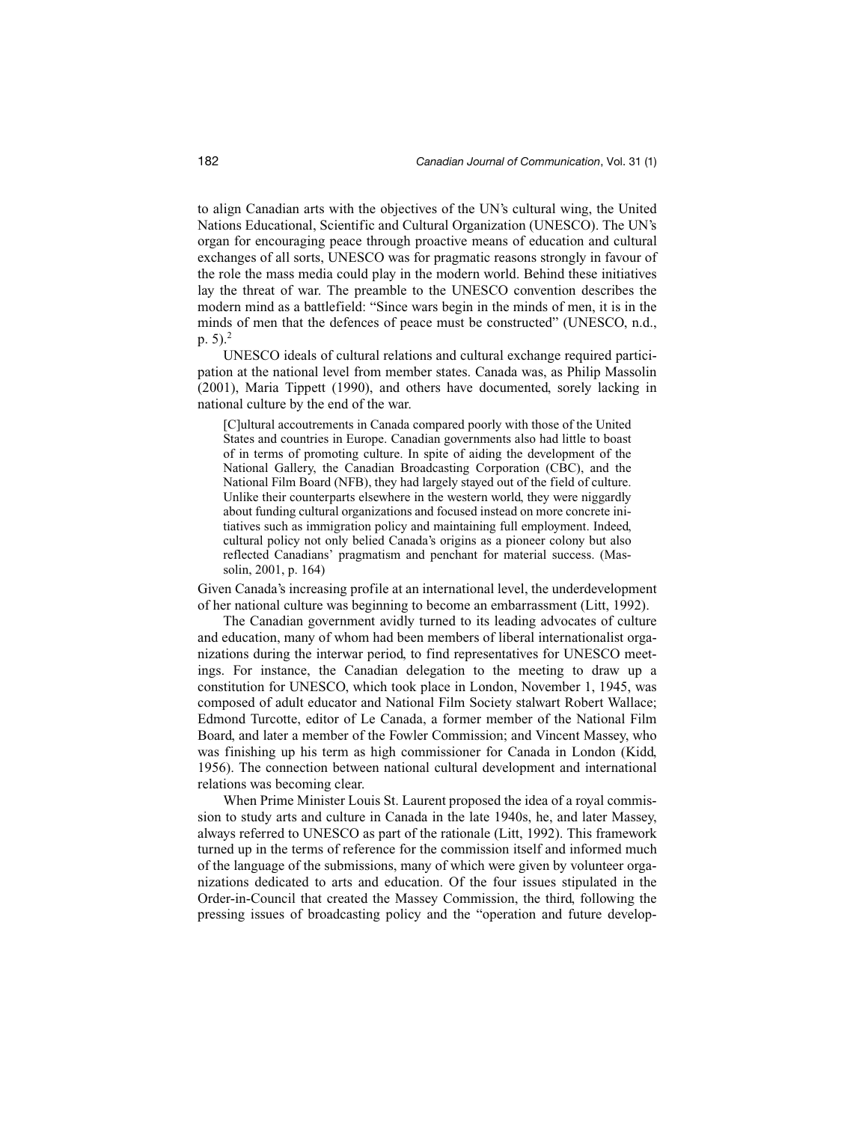to align Canadian arts with the objectives of the UN's cultural wing, the United Nations Educational, Scientific and Cultural Organization (UNESCO). The UN's organ for encouraging peace through proactive means of education and cultural exchanges of all sorts, UNESCO was for pragmatic reasons strongly in favour of the role the mass media could play in the modern world. Behind these initiatives lay the threat of war. The preamble to the UNESCO convention describes the modern mind as a battlefield: "Since wars begin in the minds of men, it is in the minds of men that the defences of peace must be constructed" (UNESCO, n.d., p. 5).2

UNESCO ideals of cultural relations and cultural exchange required participation at the national level from member states. Canada was, as Philip Massolin (2001), Maria Tippett (1990), and others have documented, sorely lacking in national culture by the end of the war.

[C]ultural accoutrements in Canada compared poorly with those of the United States and countries in Europe. Canadian governments also had little to boast of in terms of promoting culture. In spite of aiding the development of the National Gallery, the Canadian Broadcasting Corporation (CBC), and the National Film Board (NFB), they had largely stayed out of the field of culture. Unlike their counterparts elsewhere in the western world, they were niggardly about funding cultural organizations and focused instead on more concrete initiatives such as immigration policy and maintaining full employment. Indeed, cultural policy not only belied Canada's origins as a pioneer colony but also reflected Canadians' pragmatism and penchant for material success. (Massolin, 2001, p. 164)

Given Canada's increasing profile at an international level, the underdevelopment of her national culture was beginning to become an embarrassment (Litt, 1992).

The Canadian government avidly turned to its leading advocates of culture and education, many of whom had been members of liberal internationalist organizations during the interwar period, to find representatives for UNESCO meetings. For instance, the Canadian delegation to the meeting to draw up a constitution for UNESCO, which took place in London, November 1, 1945, was composed of adult educator and National Film Society stalwart Robert Wallace; Edmond Turcotte, editor of Le Canada, a former member of the National Film Board, and later a member of the Fowler Commission; and Vincent Massey, who was finishing up his term as high commissioner for Canada in London (Kidd, 1956). The connection between national cultural development and international relations was becoming clear.

When Prime Minister Louis St. Laurent proposed the idea of a royal commission to study arts and culture in Canada in the late 1940s, he, and later Massey, always referred to UNESCO as part of the rationale (Litt, 1992). This framework turned up in the terms of reference for the commission itself and informed much of the language of the submissions, many of which were given by volunteer organizations dedicated to arts and education. Of the four issues stipulated in the Order-in-Council that created the Massey Commission, the third, following the pressing issues of broadcasting policy and the "operation and future develop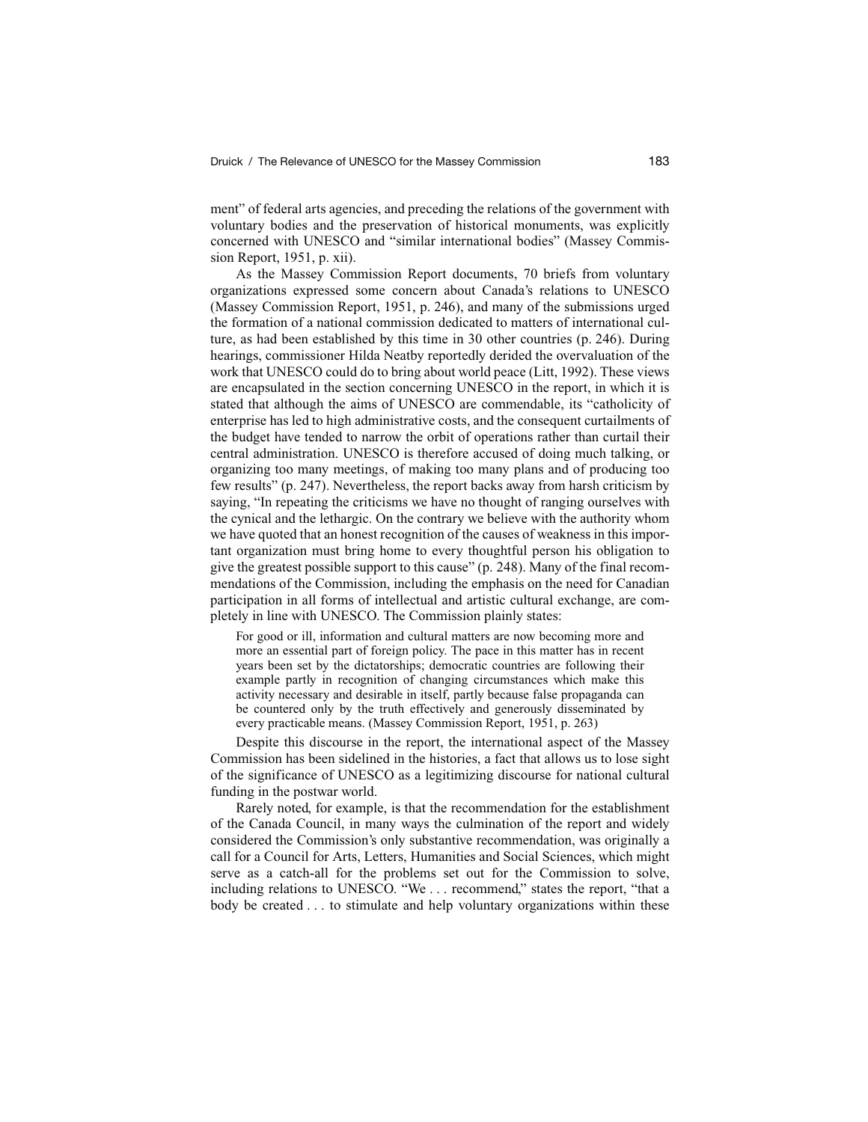ment" of federal arts agencies, and preceding the relations of the government with voluntary bodies and the preservation of historical monuments, was explicitly concerned with UNESCO and "similar international bodies" (Massey Commission Report, 1951, p. xii).

As the Massey Commission Report documents, 70 briefs from voluntary organizations expressed some concern about Canada's relations to UNESCO (Massey Commission Report, 1951, p. 246), and many of the submissions urged the formation of a national commission dedicated to matters of international culture, as had been established by this time in 30 other countries (p. 246). During hearings, commissioner Hilda Neatby reportedly derided the overvaluation of the work that UNESCO could do to bring about world peace (Litt, 1992). These views are encapsulated in the section concerning UNESCO in the report, in which it is stated that although the aims of UNESCO are commendable, its "catholicity of enterprise has led to high administrative costs, and the consequent curtailments of the budget have tended to narrow the orbit of operations rather than curtail their central administration. UNESCO is therefore accused of doing much talking, or organizing too many meetings, of making too many plans and of producing too few results" (p. 247). Nevertheless, the report backs away from harsh criticism by saying, "In repeating the criticisms we have no thought of ranging ourselves with the cynical and the lethargic. On the contrary we believe with the authority whom we have quoted that an honest recognition of the causes of weakness in this important organization must bring home to every thoughtful person his obligation to give the greatest possible support to this cause" (p. 248). Many of the final recommendations of the Commission, including the emphasis on the need for Canadian participation in all forms of intellectual and artistic cultural exchange, are completely in line with UNESCO. The Commission plainly states:

For good or ill, information and cultural matters are now becoming more and more an essential part of foreign policy. The pace in this matter has in recent years been set by the dictatorships; democratic countries are following their example partly in recognition of changing circumstances which make this activity necessary and desirable in itself, partly because false propaganda can be countered only by the truth effectively and generously disseminated by every practicable means. (Massey Commission Report, 1951, p. 263)

Despite this discourse in the report, the international aspect of the Massey Commission has been sidelined in the histories, a fact that allows us to lose sight of the significance of UNESCO as a legitimizing discourse for national cultural funding in the postwar world.

Rarely noted, for example, is that the recommendation for the establishment of the Canada Council, in many ways the culmination of the report and widely considered the Commission's only substantive recommendation, was originally a call for a Council for Arts, Letters, Humanities and Social Sciences, which might serve as a catch-all for the problems set out for the Commission to solve, including relations to UNESCO. "We . . . recommend," states the report, "that a body be created . . . to stimulate and help voluntary organizations within these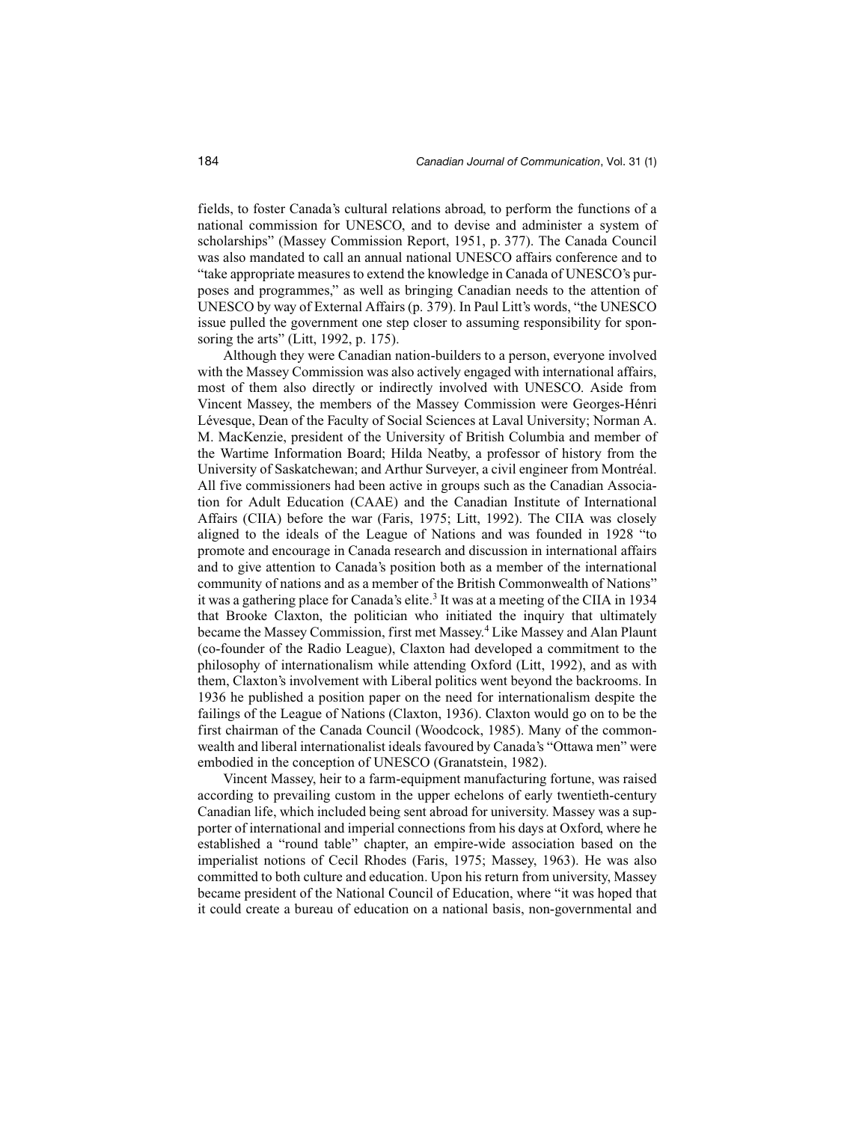fields, to foster Canada's cultural relations abroad, to perform the functions of a national commission for UNESCO, and to devise and administer a system of scholarships" (Massey Commission Report, 1951, p. 377). The Canada Council was also mandated to call an annual national UNESCO affairs conference and to "take appropriate measures to extend the knowledge in Canada of UNESCO's purposes and programmes," as well as bringing Canadian needs to the attention of UNESCO by way of External Affairs (p. 379). In Paul Litt's words, "the UNESCO issue pulled the government one step closer to assuming responsibility for sponsoring the arts" (Litt, 1992, p. 175).

Although they were Canadian nation-builders to a person, everyone involved with the Massey Commission was also actively engaged with international affairs, most of them also directly or indirectly involved with UNESCO. Aside from Vincent Massey, the members of the Massey Commission were Georges-Hénri Lévesque, Dean of the Faculty of Social Sciences at Laval University; Norman A. M. MacKenzie, president of the University of British Columbia and member of the Wartime Information Board; Hilda Neatby, a professor of history from the University of Saskatchewan; and Arthur Surveyer, a civil engineer from Montréal. All five commissioners had been active in groups such as the Canadian Association for Adult Education (CAAE) and the Canadian Institute of International Affairs (CIIA) before the war (Faris, 1975; Litt, 1992). The CIIA was closely aligned to the ideals of the League of Nations and was founded in 1928 "to promote and encourage in Canada research and discussion in international affairs and to give attention to Canada's position both as a member of the international community of nations and as a member of the British Commonwealth of Nations" it was a gathering place for Canada's elite.<sup>3</sup> It was at a meeting of the CIIA in 1934 that Brooke Claxton, the politician who initiated the inquiry that ultimately became the Massey Commission, first met Massey.<sup>4</sup> Like Massey and Alan Plaunt (co-founder of the Radio League), Claxton had developed a commitment to the philosophy of internationalism while attending Oxford (Litt, 1992), and as with them, Claxton's involvement with Liberal politics went beyond the backrooms. In 1936 he published a position paper on the need for internationalism despite the failings of the League of Nations (Claxton, 1936). Claxton would go on to be the first chairman of the Canada Council (Woodcock, 1985). Many of the commonwealth and liberal internationalist ideals favoured by Canada's "Ottawa men" were embodied in the conception of UNESCO (Granatstein, 1982).

Vincent Massey, heir to a farm-equipment manufacturing fortune, was raised according to prevailing custom in the upper echelons of early twentieth-century Canadian life, which included being sent abroad for university. Massey was a supporter of international and imperial connections from his days at Oxford, where he established a "round table" chapter, an empire-wide association based on the imperialist notions of Cecil Rhodes (Faris, 1975; Massey, 1963). He was also committed to both culture and education. Upon his return from university, Massey became president of the National Council of Education, where "it was hoped that it could create a bureau of education on a national basis, non-governmental and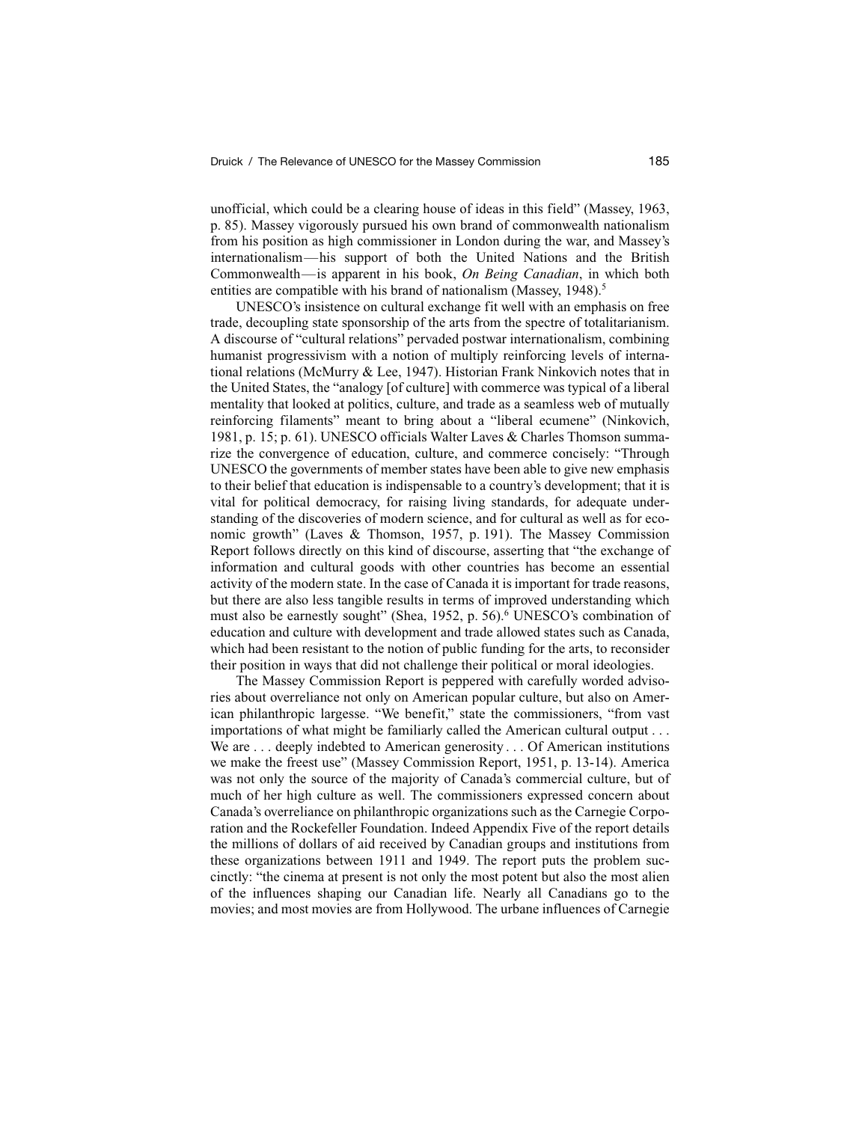unofficial, which could be a clearing house of ideas in this field" (Massey, 1963, p. 85). Massey vigorously pursued his own brand of commonwealth nationalism from his position as high commissioner in London during the war, and Massey's internationalism—his support of both the United Nations and the British Commonwealth—is apparent in his book, *On Being Canadian*, in which both entities are compatible with his brand of nationalism (Massey, 1948).<sup>5</sup>

UNESCO's insistence on cultural exchange fit well with an emphasis on free trade, decoupling state sponsorship of the arts from the spectre of totalitarianism. A discourse of "cultural relations" pervaded postwar internationalism, combining humanist progressivism with a notion of multiply reinforcing levels of international relations (McMurry & Lee, 1947). Historian Frank Ninkovich notes that in the United States, the "analogy [of culture] with commerce was typical of a liberal mentality that looked at politics, culture, and trade as a seamless web of mutually reinforcing filaments" meant to bring about a "liberal ecumene" (Ninkovich, 1981, p. 15; p. 61). UNESCO officials Walter Laves & Charles Thomson summarize the convergence of education, culture, and commerce concisely: "Through UNESCO the governments of member states have been able to give new emphasis to their belief that education is indispensable to a country's development; that it is vital for political democracy, for raising living standards, for adequate understanding of the discoveries of modern science, and for cultural as well as for economic growth" (Laves & Thomson, 1957, p. 191). The Massey Commission Report follows directly on this kind of discourse, asserting that "the exchange of information and cultural goods with other countries has become an essential activity of the modern state. In the case of Canada it is important for trade reasons, but there are also less tangible results in terms of improved understanding which must also be earnestly sought" (Shea, 1952, p. 56).<sup>6</sup> UNESCO's combination of education and culture with development and trade allowed states such as Canada, which had been resistant to the notion of public funding for the arts, to reconsider their position in ways that did not challenge their political or moral ideologies.

The Massey Commission Report is peppered with carefully worded advisories about overreliance not only on American popular culture, but also on American philanthropic largesse. "We benefit," state the commissioners, "from vast importations of what might be familiarly called the American cultural output . . . We are . . . deeply indebted to American generosity . . . Of American institutions we make the freest use" (Massey Commission Report, 1951, p. 13-14). America was not only the source of the majority of Canada's commercial culture, but of much of her high culture as well. The commissioners expressed concern about Canada's overreliance on philanthropic organizations such as the Carnegie Corporation and the Rockefeller Foundation. Indeed Appendix Five of the report details the millions of dollars of aid received by Canadian groups and institutions from these organizations between 1911 and 1949. The report puts the problem succinctly: "the cinema at present is not only the most potent but also the most alien of the influences shaping our Canadian life. Nearly all Canadians go to the movies; and most movies are from Hollywood. The urbane influences of Carnegie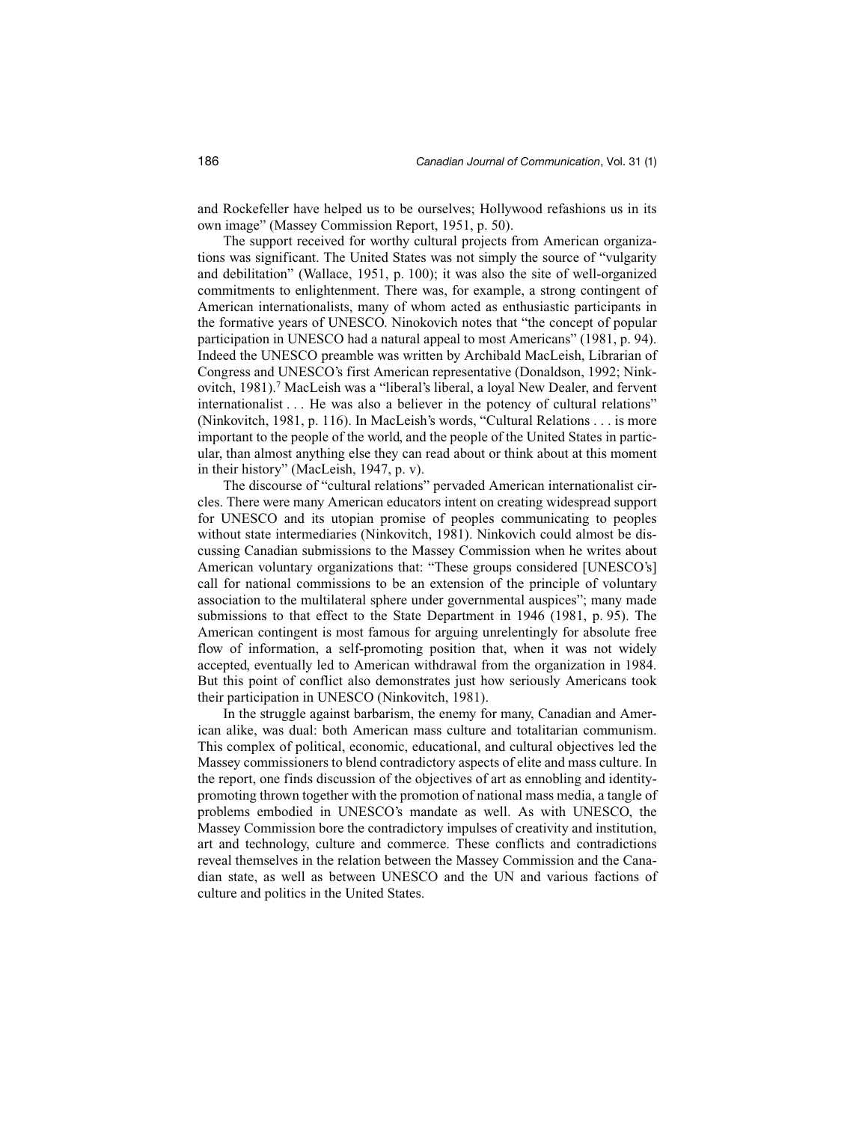and Rockefeller have helped us to be ourselves; Hollywood refashions us in its own image" (Massey Commission Report, 1951, p. 50).

The support received for worthy cultural projects from American organizations was significant. The United States was not simply the source of "vulgarity and debilitation" (Wallace, 1951, p. 100); it was also the site of well-organized commitments to enlightenment. There was, for example, a strong contingent of American internationalists, many of whom acted as enthusiastic participants in the formative years of UNESCO. Ninokovich notes that "the concept of popular participation in UNESCO had a natural appeal to most Americans" (1981, p. 94). Indeed the UNESCO preamble was written by Archibald MacLeish, Librarian of Congress and UNESCO's first American representative (Donaldson, 1992; Ninkovitch, 1981).<sup>7</sup> MacLeish was a "liberal's liberal, a loyal New Dealer, and fervent internationalist . . . He was also a believer in the potency of cultural relations" (Ninkovitch, 1981, p. 116). In MacLeish's words, "Cultural Relations . . . is more important to the people of the world, and the people of the United States in particular, than almost anything else they can read about or think about at this moment in their history" (MacLeish, 1947, p. v).

The discourse of "cultural relations" pervaded American internationalist circles. There were many American educators intent on creating widespread support for UNESCO and its utopian promise of peoples communicating to peoples without state intermediaries (Ninkovitch, 1981). Ninkovich could almost be discussing Canadian submissions to the Massey Commission when he writes about American voluntary organizations that: "These groups considered [UNESCO's] call for national commissions to be an extension of the principle of voluntary association to the multilateral sphere under governmental auspices"; many made submissions to that effect to the State Department in 1946 (1981, p. 95). The American contingent is most famous for arguing unrelentingly for absolute free flow of information, a self-promoting position that, when it was not widely accepted, eventually led to American withdrawal from the organization in 1984. But this point of conflict also demonstrates just how seriously Americans took their participation in UNESCO (Ninkovitch, 1981).

In the struggle against barbarism, the enemy for many, Canadian and American alike, was dual: both American mass culture and totalitarian communism. This complex of political, economic, educational, and cultural objectives led the Massey commissioners to blend contradictory aspects of elite and mass culture. In the report, one finds discussion of the objectives of art as ennobling and identitypromoting thrown together with the promotion of national mass media, a tangle of problems embodied in UNESCO's mandate as well. As with UNESCO, the Massey Commission bore the contradictory impulses of creativity and institution, art and technology, culture and commerce. These conflicts and contradictions reveal themselves in the relation between the Massey Commission and the Canadian state, as well as between UNESCO and the UN and various factions of culture and politics in the United States.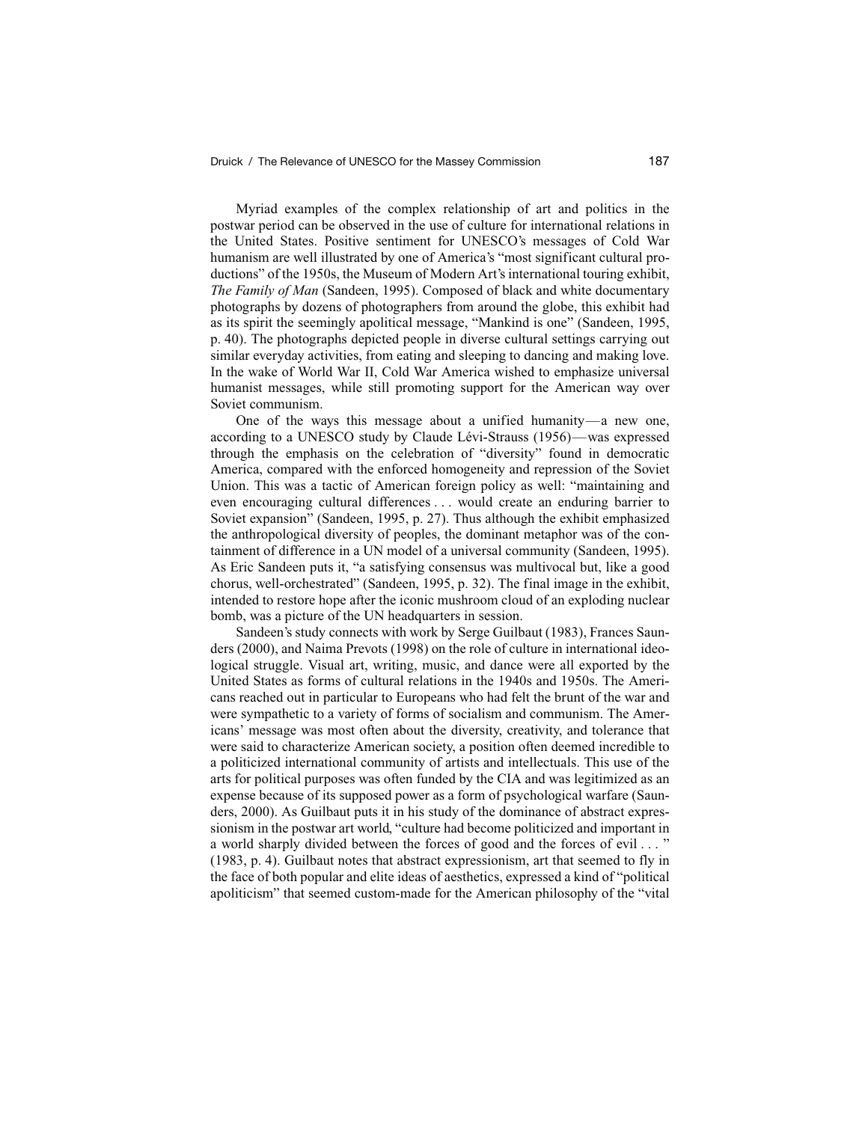Myriad examples of the complex relationship of art and politics in the postwar period can be observed in the use of culture for international relations in the United States. Positive sentiment for UNESCO's messages of Cold War humanism are well illustrated by one of America's "most significant cultural productions" of the 1950s, the Museum of Modern Art's international touring exhibit, *The Family of Man* (Sandeen, 1995). Composed of black and white documentary photographs by dozens of photographers from around the globe, this exhibit had as its spirit the seemingly apolitical message, "Mankind is one" (Sandeen, 1995, p. 40). The photographs depicted people in diverse cultural settings carrying out similar everyday activities, from eating and sleeping to dancing and making love. In the wake of World War II, Cold War America wished to emphasize universal humanist messages, while still promoting support for the American way over Soviet communism.

One of the ways this message about a unified humanity—a new one, according to a UNESCO study by Claude Lévi-Strauss (1956)—was expressed through the emphasis on the celebration of "diversity" found in democratic America, compared with the enforced homogeneity and repression of the Soviet Union. This was a tactic of American foreign policy as well: "maintaining and even encouraging cultural differences . . . would create an enduring barrier to Soviet expansion" (Sandeen, 1995, p. 27). Thus although the exhibit emphasized the anthropological diversity of peoples, the dominant metaphor was of the containment of difference in a UN model of a universal community (Sandeen, 1995). As Eric Sandeen puts it, "a satisfying consensus was multivocal but, like a good chorus, well-orchestrated" (Sandeen, 1995, p. 32). The final image in the exhibit, intended to restore hope after the iconic mushroom cloud of an exploding nuclear bomb, was a picture of the UN headquarters in session.

Sandeen's study connects with work by Serge Guilbaut (1983), Frances Saunders (2000), and Naima Prevots (1998) on the role of culture in international ideological struggle. Visual art, writing, music, and dance were all exported by the United States as forms of cultural relations in the 1940s and 1950s. The Americans reached out in particular to Europeans who had felt the brunt of the war and were sympathetic to a variety of forms of socialism and communism. The Americans' message was most often about the diversity, creativity, and tolerance that were said to characterize American society, a position often deemed incredible to a politicized international community of artists and intellectuals. This use of the arts for political purposes was often funded by the CIA and was legitimized as an expense because of its supposed power as a form of psychological warfare (Saunders, 2000). As Guilbaut puts it in his study of the dominance of abstract expressionism in the postwar art world, "culture had become politicized and important in a world sharply divided between the forces of good and the forces of evil . . . " (1983, p. 4). Guilbaut notes that abstract expressionism, art that seemed to fly in the face of both popular and elite ideas of aesthetics, expressed a kind of "political apoliticism" that seemed custom-made for the American philosophy of the "vital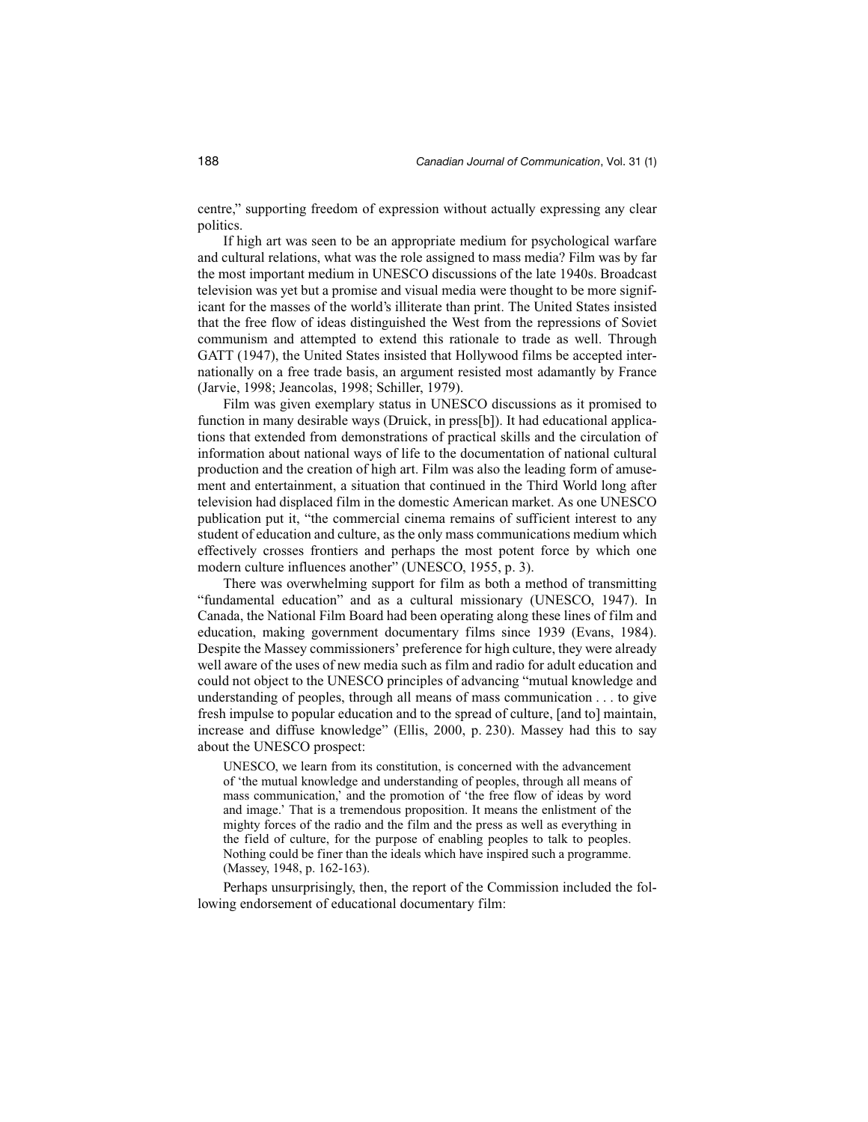centre," supporting freedom of expression without actually expressing any clear politics.

If high art was seen to be an appropriate medium for psychological warfare and cultural relations, what was the role assigned to mass media? Film was by far the most important medium in UNESCO discussions of the late 1940s. Broadcast television was yet but a promise and visual media were thought to be more significant for the masses of the world's illiterate than print. The United States insisted that the free flow of ideas distinguished the West from the repressions of Soviet communism and attempted to extend this rationale to trade as well. Through GATT (1947), the United States insisted that Hollywood films be accepted internationally on a free trade basis, an argument resisted most adamantly by France (Jarvie, 1998; Jeancolas, 1998; Schiller, 1979).

Film was given exemplary status in UNESCO discussions as it promised to function in many desirable ways (Druick, in press[b]). It had educational applications that extended from demonstrations of practical skills and the circulation of information about national ways of life to the documentation of national cultural production and the creation of high art. Film was also the leading form of amusement and entertainment, a situation that continued in the Third World long after television had displaced film in the domestic American market. As one UNESCO publication put it, "the commercial cinema remains of sufficient interest to any student of education and culture, as the only mass communications medium which effectively crosses frontiers and perhaps the most potent force by which one modern culture influences another" (UNESCO, 1955, p. 3).

There was overwhelming support for film as both a method of transmitting "fundamental education" and as a cultural missionary (UNESCO, 1947). In Canada, the National Film Board had been operating along these lines of film and education, making government documentary films since 1939 (Evans, 1984). Despite the Massey commissioners' preference for high culture, they were already well aware of the uses of new media such as film and radio for adult education and could not object to the UNESCO principles of advancing "mutual knowledge and understanding of peoples, through all means of mass communication . . . to give fresh impulse to popular education and to the spread of culture, [and to] maintain, increase and diffuse knowledge" (Ellis, 2000, p. 230). Massey had this to say about the UNESCO prospect:

UNESCO, we learn from its constitution, is concerned with the advancement of 'the mutual knowledge and understanding of peoples, through all means of mass communication,' and the promotion of 'the free flow of ideas by word and image.' That is a tremendous proposition. It means the enlistment of the mighty forces of the radio and the film and the press as well as everything in the field of culture, for the purpose of enabling peoples to talk to peoples. Nothing could be finer than the ideals which have inspired such a programme. (Massey, 1948, p. 162-163).

Perhaps unsurprisingly, then, the report of the Commission included the following endorsement of educational documentary film: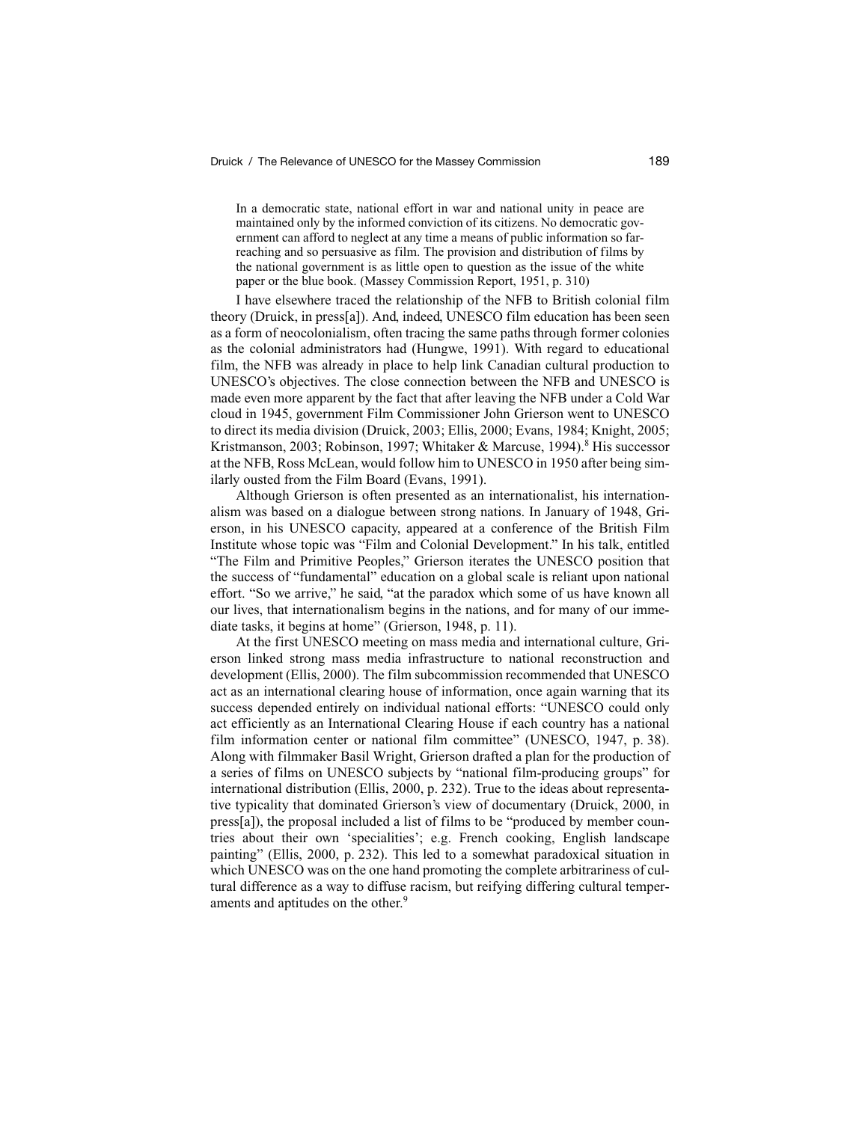In a democratic state, national effort in war and national unity in peace are maintained only by the informed conviction of its citizens. No democratic government can afford to neglect at any time a means of public information so farreaching and so persuasive as film. The provision and distribution of films by the national government is as little open to question as the issue of the white paper or the blue book. (Massey Commission Report, 1951, p. 310)

I have elsewhere traced the relationship of the NFB to British colonial film theory (Druick, in press[a]). And, indeed, UNESCO film education has been seen as a form of neocolonialism, often tracing the same paths through former colonies as the colonial administrators had (Hungwe, 1991). With regard to educational film, the NFB was already in place to help link Canadian cultural production to UNESCO's objectives. The close connection between the NFB and UNESCO is made even more apparent by the fact that after leaving the NFB under a Cold War cloud in 1945, government Film Commissioner John Grierson went to UNESCO to direct its media division (Druick, 2003; Ellis, 2000; Evans, 1984; Knight, 2005; Kristmanson, 2003; Robinson, 1997; Whitaker & Marcuse, 1994).<sup>8</sup> His successor at the NFB, Ross McLean, would follow him to UNESCO in 1950 after being similarly ousted from the Film Board (Evans, 1991).

Although Grierson is often presented as an internationalist, his internationalism was based on a dialogue between strong nations. In January of 1948, Grierson, in his UNESCO capacity, appeared at a conference of the British Film Institute whose topic was "Film and Colonial Development." In his talk, entitled "The Film and Primitive Peoples," Grierson iterates the UNESCO position that the success of "fundamental" education on a global scale is reliant upon national effort. "So we arrive," he said, "at the paradox which some of us have known all our lives, that internationalism begins in the nations, and for many of our immediate tasks, it begins at home" (Grierson, 1948, p. 11).

At the first UNESCO meeting on mass media and international culture, Grierson linked strong mass media infrastructure to national reconstruction and development (Ellis, 2000). The film subcommission recommended that UNESCO act as an international clearing house of information, once again warning that its success depended entirely on individual national efforts: "UNESCO could only act efficiently as an International Clearing House if each country has a national film information center or national film committee" (UNESCO, 1947, p. 38). Along with filmmaker Basil Wright, Grierson drafted a plan for the production of a series of films on UNESCO subjects by "national film-producing groups" for international distribution (Ellis, 2000, p. 232). True to the ideas about representative typicality that dominated Grierson's view of documentary (Druick, 2000, in press[a]), the proposal included a list of films to be "produced by member countries about their own 'specialities'; e.g. French cooking, English landscape painting" (Ellis, 2000, p. 232). This led to a somewhat paradoxical situation in which UNESCO was on the one hand promoting the complete arbitrariness of cultural difference as a way to diffuse racism, but reifying differing cultural temperaments and aptitudes on the other.<sup>9</sup>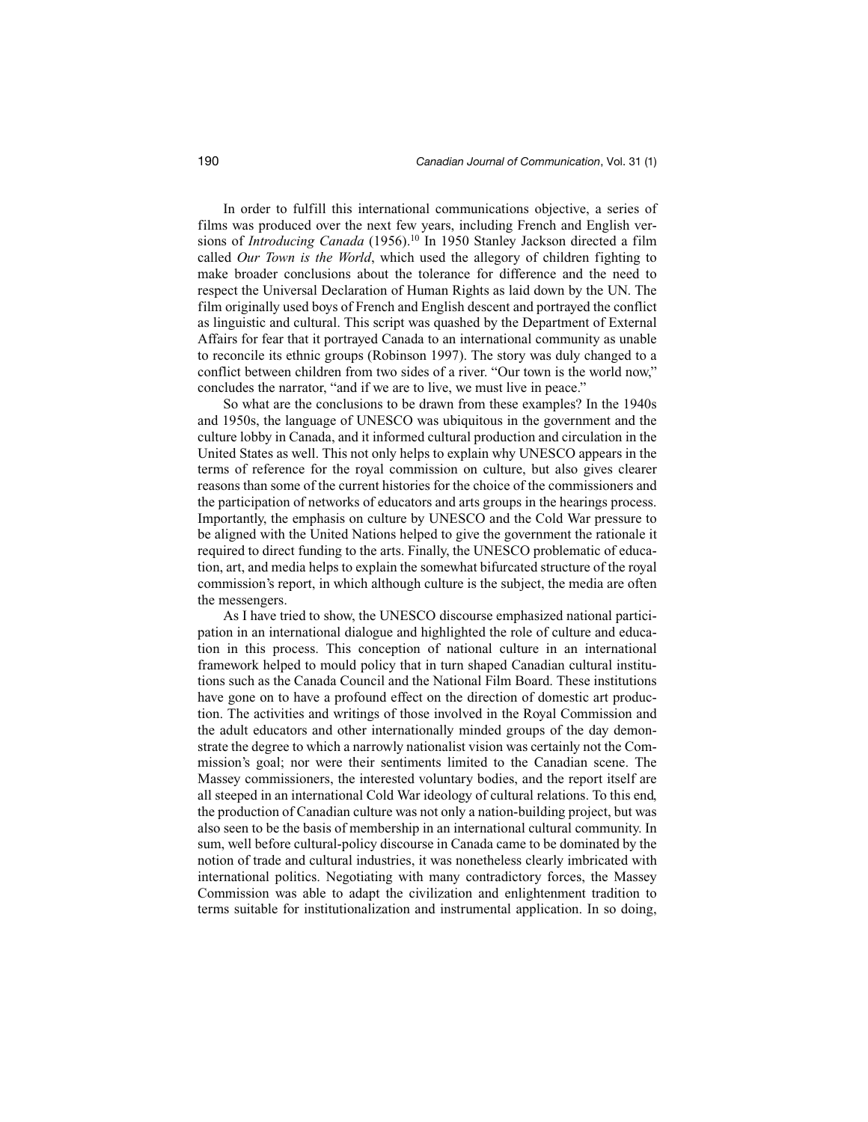In order to fulfill this international communications objective, a series of films was produced over the next few years, including French and English versions of *Introducing Canada* (1956).<sup>10</sup> In 1950 Stanley Jackson directed a film called *Our Town is the World*, which used the allegory of children fighting to make broader conclusions about the tolerance for difference and the need to respect the Universal Declaration of Human Rights as laid down by the UN. The film originally used boys of French and English descent and portrayed the conflict as linguistic and cultural. This script was quashed by the Department of External Affairs for fear that it portrayed Canada to an international community as unable to reconcile its ethnic groups (Robinson 1997). The story was duly changed to a conflict between children from two sides of a river. "Our town is the world now," concludes the narrator, "and if we are to live, we must live in peace."

So what are the conclusions to be drawn from these examples? In the 1940s and 1950s, the language of UNESCO was ubiquitous in the government and the culture lobby in Canada, and it informed cultural production and circulation in the United States as well. This not only helps to explain why UNESCO appears in the terms of reference for the royal commission on culture, but also gives clearer reasons than some of the current histories for the choice of the commissioners and the participation of networks of educators and arts groups in the hearings process. Importantly, the emphasis on culture by UNESCO and the Cold War pressure to be aligned with the United Nations helped to give the government the rationale it required to direct funding to the arts. Finally, the UNESCO problematic of education, art, and media helps to explain the somewhat bifurcated structure of the royal commission's report, in which although culture is the subject, the media are often the messengers.

As I have tried to show, the UNESCO discourse emphasized national participation in an international dialogue and highlighted the role of culture and education in this process. This conception of national culture in an international framework helped to mould policy that in turn shaped Canadian cultural institutions such as the Canada Council and the National Film Board. These institutions have gone on to have a profound effect on the direction of domestic art production. The activities and writings of those involved in the Royal Commission and the adult educators and other internationally minded groups of the day demonstrate the degree to which a narrowly nationalist vision was certainly not the Commission's goal; nor were their sentiments limited to the Canadian scene. The Massey commissioners, the interested voluntary bodies, and the report itself are all steeped in an international Cold War ideology of cultural relations. To this end, the production of Canadian culture was not only a nation-building project, but was also seen to be the basis of membership in an international cultural community. In sum, well before cultural-policy discourse in Canada came to be dominated by the notion of trade and cultural industries, it was nonetheless clearly imbricated with international politics. Negotiating with many contradictory forces, the Massey Commission was able to adapt the civilization and enlightenment tradition to terms suitable for institutionalization and instrumental application. In so doing,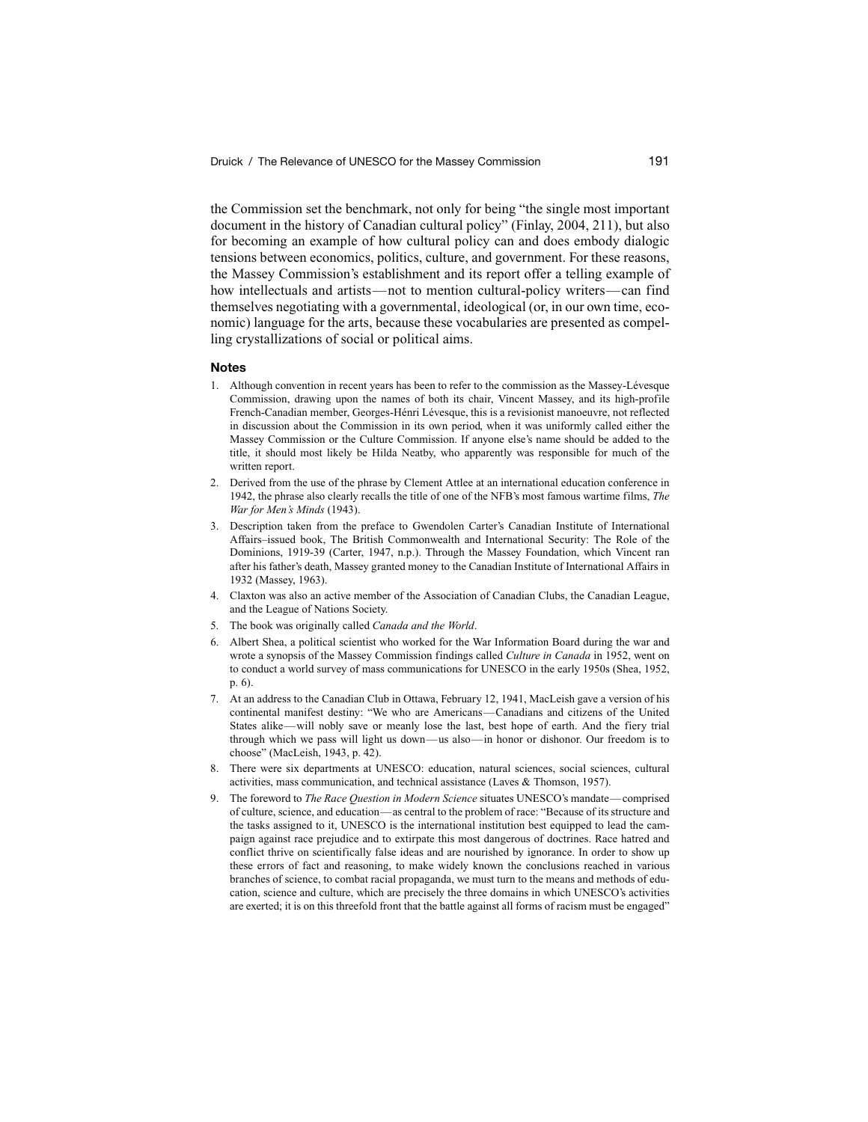the Commission set the benchmark, not only for being "the single most important document in the history of Canadian cultural policy" (Finlay, 2004, 211), but also for becoming an example of how cultural policy can and does embody dialogic tensions between economics, politics, culture, and government. For these reasons, the Massey Commission's establishment and its report offer a telling example of how intellectuals and artists—not to mention cultural-policy writers—can find themselves negotiating with a governmental, ideological (or, in our own time, economic) language for the arts, because these vocabularies are presented as compelling crystallizations of social or political aims.

#### **Notes**

- 1. Although convention in recent years has been to refer to the commission as the Massey-Lévesque Commission, drawing upon the names of both its chair, Vincent Massey, and its high-profile French-Canadian member, Georges-Hénri Lévesque, this is a revisionist manoeuvre, not reflected in discussion about the Commission in its own period, when it was uniformly called either the Massey Commission or the Culture Commission. If anyone else's name should be added to the title, it should most likely be Hilda Neatby, who apparently was responsible for much of the written report.
- 2. Derived from the use of the phrase by Clement Attlee at an international education conference in 1942, the phrase also clearly recalls the title of one of the NFB's most famous wartime films, *The War for Men's Minds* (1943).
- 3. Description taken from the preface to Gwendolen Carter's Canadian Institute of International Affairs–issued book, The British Commonwealth and International Security: The Role of the Dominions, 1919-39 (Carter, 1947, n.p.). Through the Massey Foundation, which Vincent ran after his father's death, Massey granted money to the Canadian Institute of International Affairs in 1932 (Massey, 1963).
- 4. Claxton was also an active member of the Association of Canadian Clubs, the Canadian League, and the League of Nations Society.
- 5. The book was originally called *Canada and the World*.
- 6. Albert Shea, a political scientist who worked for the War Information Board during the war and wrote a synopsis of the Massey Commission findings called *Culture in Canada* in 1952, went on to conduct a world survey of mass communications for UNESCO in the early 1950s (Shea, 1952, p. 6).
- 7. At an address to the Canadian Club in Ottawa, February 12, 1941, MacLeish gave a version of his continental manifest destiny: "We who are Americans—Canadians and citizens of the United States alike—will nobly save or meanly lose the last, best hope of earth. And the fiery trial through which we pass will light us down—us also—in honor or dishonor. Our freedom is to choose" (MacLeish, 1943, p. 42).
- 8. There were six departments at UNESCO: education, natural sciences, social sciences, cultural activities, mass communication, and technical assistance (Laves & Thomson, 1957).
- 9. The foreword to *The Race Question in Modern Science* situates UNESCO's mandate—comprised of culture, science, and education—as central to the problem of race: "Because of its structure and the tasks assigned to it, UNESCO is the international institution best equipped to lead the campaign against race prejudice and to extirpate this most dangerous of doctrines. Race hatred and conflict thrive on scientifically false ideas and are nourished by ignorance. In order to show up these errors of fact and reasoning, to make widely known the conclusions reached in various branches of science, to combat racial propaganda, we must turn to the means and methods of education, science and culture, which are precisely the three domains in which UNESCO's activities are exerted; it is on this threefold front that the battle against all forms of racism must be engaged"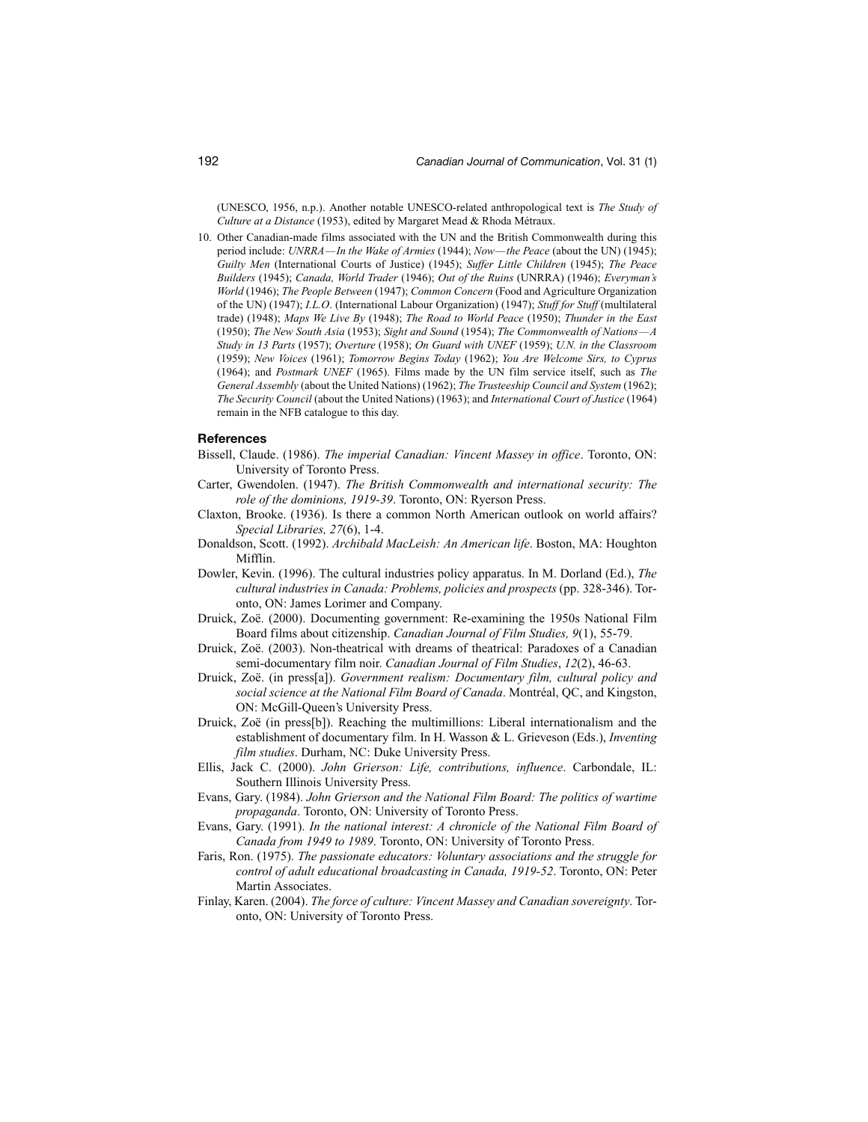(UNESCO, 1956, n.p.). Another notable UNESCO-related anthropological text is *The Study of Culture at a Distance* (1953), edited by Margaret Mead & Rhoda Métraux.

10. Other Canadian-made films associated with the UN and the British Commonwealth during this period include: *UNRRA—In the Wake of Armies* (1944); *Now—the Peace* (about the UN) (1945); *Guilty Men* (International Courts of Justice) (1945); *Suffer Little Children* (1945); *The Peace Builders* (1945); *Canada, World Trader* (1946); *Out of the Ruins* (UNRRA) (1946); *Everyman's World* (1946); *The People Between* (1947); *Common Concern* (Food and Agriculture Organization of the UN) (1947); *I.L.O*. (International Labour Organization) (1947); *Stuff for Stuff* (multilateral trade) (1948); *Maps We Live By* (1948); *The Road to World Peace* (1950); *Thunder in the East* (1950); *The New South Asia* (1953); *Sight and Sound* (1954); *The Commonwealth of Nations—A Study in 13 Parts* (1957); *Overture* (1958); *On Guard with UNEF* (1959); *U.N. in the Classroom* (1959); *New Voices* (1961); *Tomorrow Begins Today* (1962); *You Are Welcome Sirs, to Cyprus* (1964); and *Postmark UNEF* (1965). Films made by the UN film service itself, such as *The General Assembly* (about the United Nations) (1962); *The Trusteeship Council and System* (1962); *The Security Council* (about the United Nations) (1963); and *International Court of Justice* (1964) remain in the NFB catalogue to this day.

#### **References**

- Bissell, Claude. (1986). *The imperial Canadian: Vincent Massey in office*. Toronto, ON: University of Toronto Press.
- Carter, Gwendolen. (1947). *The British Commonwealth and international security: The role of the dominions, 1919-39*. Toronto, ON: Ryerson Press.
- Claxton, Brooke. (1936). Is there a common North American outlook on world affairs? *Special Libraries, 27*(6), 1-4.
- Donaldson, Scott. (1992). *Archibald MacLeish: An American life*. Boston, MA: Houghton Mifflin.
- Dowler, Kevin. (1996). The cultural industries policy apparatus. In M. Dorland (Ed.), *The cultural industries in Canada: Problems, policies and prospects* (pp. 328-346). Toronto, ON: James Lorimer and Company.
- Druick, Zoë. (2000). Documenting government: Re-examining the 1950s National Film Board films about citizenship. *Canadian Journal of Film Studies, 9*(1), 55-79.
- Druick, Zoë. (2003). Non-theatrical with dreams of theatrical: Paradoxes of a Canadian semi-documentary film noir. *Canadian Journal of Film Studies*, *12*(2), 46-63.
- Druick, Zoë. (in press[a]). *Government realism: Documentary film, cultural policy and social science at the National Film Board of Canada*. Montréal, QC, and Kingston, ON: McGill-Queen's University Press.
- Druick, Zoë (in press[b]). Reaching the multimillions: Liberal internationalism and the establishment of documentary film. In H. Wasson & L. Grieveson (Eds.), *Inventing film studies*. Durham, NC: Duke University Press.
- Ellis, Jack C. (2000). *John Grierson: Life, contributions, influence*. Carbondale, IL: Southern Illinois University Press.
- Evans, Gary. (1984). *John Grierson and the National Film Board: The politics of wartime propaganda*. Toronto, ON: University of Toronto Press.
- Evans, Gary. (1991). *In the national interest: A chronicle of the National Film Board of Canada from 1949 to 1989*. Toronto, ON: University of Toronto Press.
- Faris, Ron. (1975). *The passionate educators: Voluntary associations and the struggle for control of adult educational broadcasting in Canada, 1919-52*. Toronto, ON: Peter Martin Associates.
- Finlay, Karen. (2004). *The force of culture: Vincent Massey and Canadian sovereignty*. Toronto, ON: University of Toronto Press.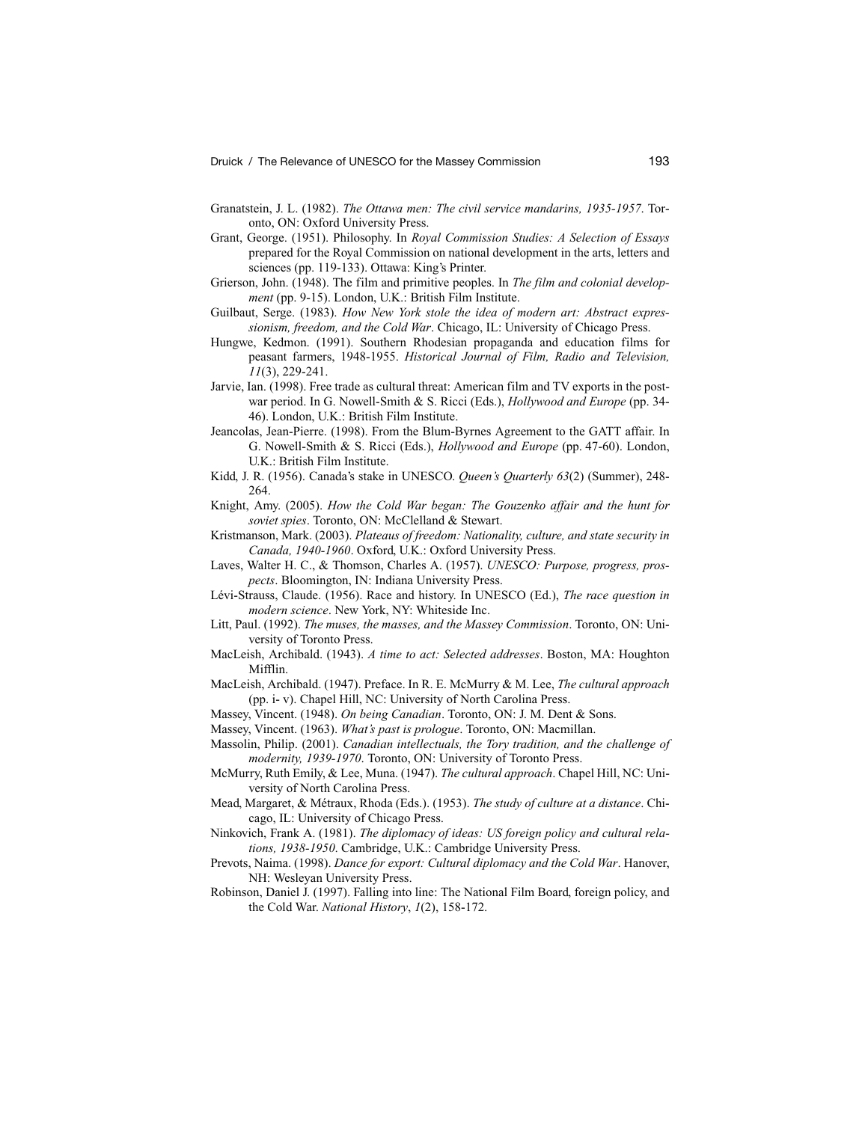- Granatstein, J. L. (1982). *The Ottawa men: The civil service mandarins, 1935-1957*. Toronto, ON: Oxford University Press.
- Grant, George. (1951). Philosophy. In *Royal Commission Studies: A Selection of Essays* prepared for the Royal Commission on national development in the arts, letters and sciences (pp. 119-133). Ottawa: King's Printer.
- Grierson, John. (1948). The film and primitive peoples. In *The film and colonial development* (pp. 9-15). London, U.K.: British Film Institute.
- Guilbaut, Serge. (1983). *How New York stole the idea of modern art: Abstract expressionism, freedom, and the Cold War*. Chicago, IL: University of Chicago Press.
- Hungwe, Kedmon. (1991). Southern Rhodesian propaganda and education films for peasant farmers, 1948-1955. *Historical Journal of Film, Radio and Television, 11*(3), 229-241.
- Jarvie, Ian. (1998). Free trade as cultural threat: American film and TV exports in the postwar period. In G. Nowell-Smith & S. Ricci (Eds.), *Hollywood and Europe* (pp. 34- 46). London, U.K.: British Film Institute.
- Jeancolas, Jean-Pierre. (1998). From the Blum-Byrnes Agreement to the GATT affair. In G. Nowell-Smith & S. Ricci (Eds.), *Hollywood and Europe* (pp. 47-60). London, U.K.: British Film Institute.
- Kidd, J. R. (1956). Canada's stake in UNESCO. *Queen's Quarterly 63*(2) (Summer), 248- 264.
- Knight, Amy. (2005). *How the Cold War began: The Gouzenko affair and the hunt for soviet spies*. Toronto, ON: McClelland & Stewart.
- Kristmanson, Mark. (2003). *Plateaus of freedom: Nationality, culture, and state security in Canada, 1940-1960*. Oxford, U.K.: Oxford University Press.
- Laves, Walter H. C., & Thomson, Charles A. (1957). *UNESCO: Purpose, progress, prospects*. Bloomington, IN: Indiana University Press.
- Lévi-Strauss, Claude. (1956). Race and history. In UNESCO (Ed.), *The race question in modern science*. New York, NY: Whiteside Inc.
- Litt, Paul. (1992). *The muses, the masses, and the Massey Commission*. Toronto, ON: University of Toronto Press.
- MacLeish, Archibald. (1943). *A time to act: Selected addresses*. Boston, MA: Houghton Mifflin.
- MacLeish, Archibald. (1947). Preface. In R. E. McMurry & M. Lee, *The cultural approach* (pp. i- v). Chapel Hill, NC: University of North Carolina Press.

Massey, Vincent. (1948). *On being Canadian*. Toronto, ON: J. M. Dent & Sons.

- Massey, Vincent. (1963). *What's past is prologue*. Toronto, ON: Macmillan.
- Massolin, Philip. (2001). *Canadian intellectuals, the Tory tradition, and the challenge of modernity, 1939-1970*. Toronto, ON: University of Toronto Press.
- McMurry, Ruth Emily, & Lee, Muna. (1947). *The cultural approach*. Chapel Hill, NC: University of North Carolina Press.
- Mead, Margaret, & Métraux, Rhoda (Eds.). (1953). *The study of culture at a distance*. Chicago, IL: University of Chicago Press.
- Ninkovich, Frank A. (1981). *The diplomacy of ideas: US foreign policy and cultural relations, 1938-1950*. Cambridge, U.K.: Cambridge University Press.
- Prevots, Naima. (1998). *Dance for export: Cultural diplomacy and the Cold War*. Hanover, NH: Wesleyan University Press.
- Robinson, Daniel J. (1997). Falling into line: The National Film Board, foreign policy, and the Cold War. *National History*, *1*(2), 158-172.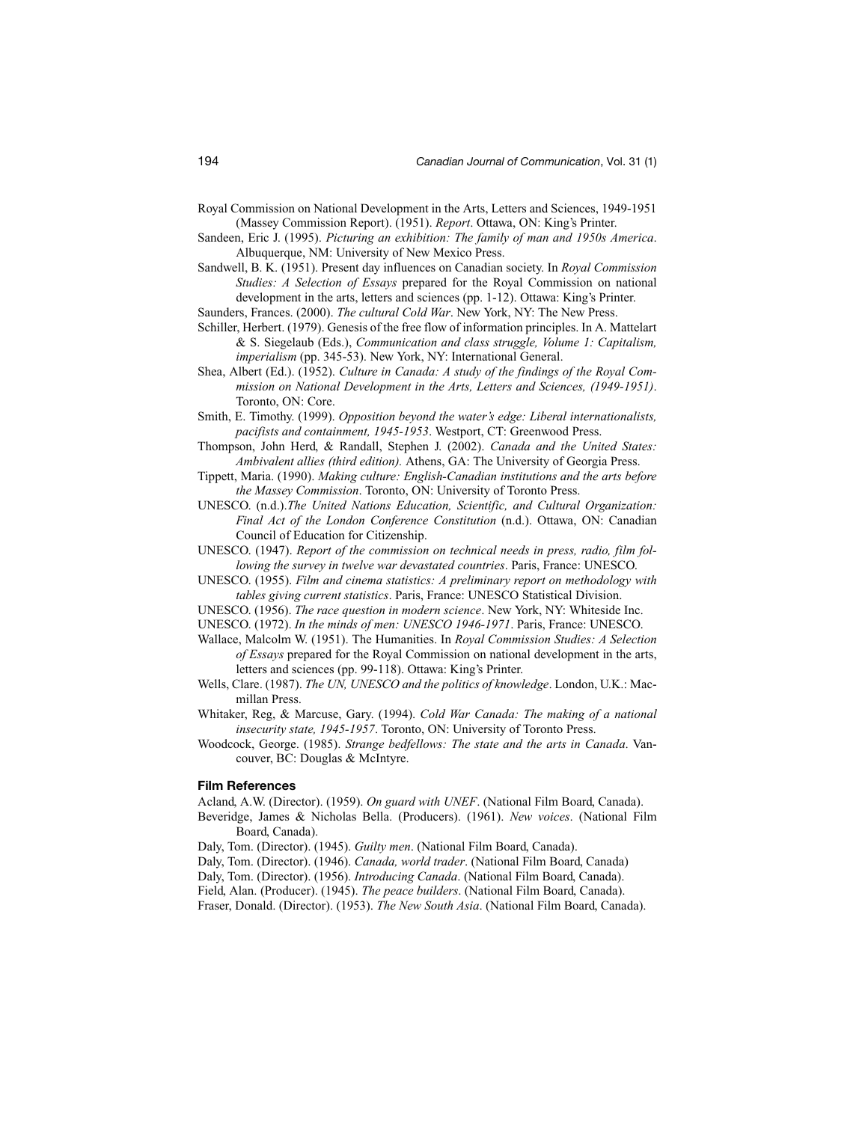- Royal Commission on National Development in the Arts, Letters and Sciences, 1949-1951 (Massey Commission Report). (1951). *Report*. Ottawa, ON: King's Printer.
- Sandeen, Eric J. (1995). *Picturing an exhibition: The family of man and 1950s America*. Albuquerque, NM: University of New Mexico Press.
- Sandwell, B. K. (1951). Present day influences on Canadian society. In *Royal Commission Studies: A Selection of Essays* prepared for the Royal Commission on national development in the arts, letters and sciences (pp. 1-12). Ottawa: King's Printer.
- Saunders, Frances. (2000). *The cultural Cold War*. New York, NY: The New Press.
- Schiller, Herbert. (1979). Genesis of the free flow of information principles. In A. Mattelart & S. Siegelaub (Eds.), *Communication and class struggle, Volume 1: Capitalism, imperialism* (pp. 345-53). New York, NY: International General.
- Shea, Albert (Ed.). (1952). *Culture in Canada: A study of the findings of the Royal Commission on National Development in the Arts, Letters and Sciences, (1949-1951)*. Toronto, ON: Core.
- Smith, E. Timothy. (1999). *Opposition beyond the water's edge: Liberal internationalists, pacifists and containment, 1945-1953*. Westport, CT: Greenwood Press.
- Thompson, John Herd, & Randall, Stephen J. (2002). *Canada and the United States: Ambivalent allies (third edition).* Athens, GA: The University of Georgia Press.
- Tippett, Maria. (1990). *Making culture: English-Canadian institutions and the arts before the Massey Commission*. Toronto, ON: University of Toronto Press.
- UNESCO. (n.d.).*The United Nations Education, Scientific, and Cultural Organization: Final Act of the London Conference Constitution* (n.d.). Ottawa, ON: Canadian Council of Education for Citizenship.
- UNESCO. (1947). *Report of the commission on technical needs in press, radio, film following the survey in twelve war devastated countries*. Paris, France: UNESCO.
- UNESCO. (1955). *Film and cinema statistics: A preliminary report on methodology with tables giving current statistics*. Paris, France: UNESCO Statistical Division.
- UNESCO. (1956). *The race question in modern science*. New York, NY: Whiteside Inc.
- UNESCO. (1972). *In the minds of men: UNESCO 1946-1971*. Paris, France: UNESCO.
- Wallace, Malcolm W. (1951). The Humanities. In *Royal Commission Studies: A Selection of Essays* prepared for the Royal Commission on national development in the arts, letters and sciences (pp. 99-118). Ottawa: King's Printer.
- Wells, Clare. (1987). *The UN, UNESCO and the politics of knowledge*. London, U.K.: Macmillan Press.
- Whitaker, Reg, & Marcuse, Gary. (1994). *Cold War Canada: The making of a national insecurity state, 1945-1957*. Toronto, ON: University of Toronto Press.
- Woodcock, George. (1985). *Strange bedfellows: The state and the arts in Canada*. Vancouver, BC: Douglas & McIntyre.

### **Film References**

- Acland, A.W. (Director). (1959). *On guard with UNEF*. (National Film Board, Canada).
- Beveridge, James & Nicholas Bella. (Producers). (1961). *New voices*. (National Film Board, Canada).
- Daly, Tom. (Director). (1945). *Guilty men*. (National Film Board, Canada).
- Daly, Tom. (Director). (1946). *Canada, world trader*. (National Film Board, Canada)
- Daly, Tom. (Director). (1956). *Introducing Canada*. (National Film Board, Canada).
- Field, Alan. (Producer). (1945). *The peace builders*. (National Film Board, Canada).
- Fraser, Donald. (Director). (1953). *The New South Asia*. (National Film Board, Canada).